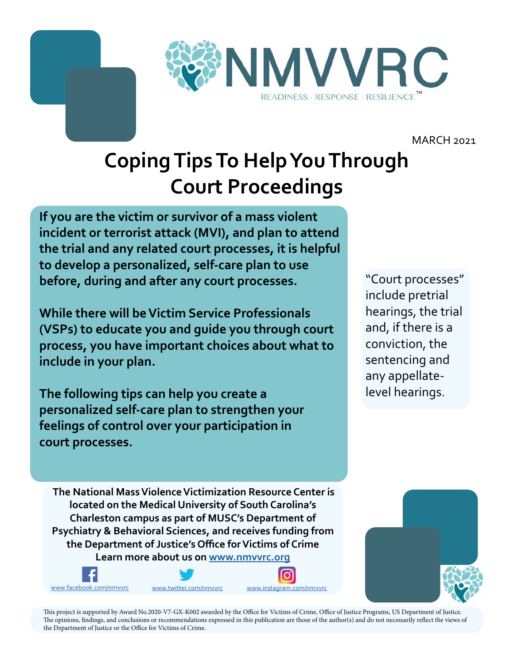

MARCH 2021

# **Coping Tips To Help You Through Court Proceedings**

**If you are the victim or survivor of a mass violent incident or terrorist attack (MVI), and plan to attend the trial and any related court processes, it is helpful to develop a personalized, self-care plan to use before, during and after any court processes.**

**While there will be Victim Service Professionals (VSPs) to educate you and guide you through court process, you have important choices about what to include in your plan.** 

**The following tips can help you create a personalized self-care plan to strengthen your feelings of control over your participation in court processes.**

"Court processes" include pretrial hearings, the trial and, if there is a conviction, the sentencing and any appellatelevel hearings.

 **The National Mass Violence Victimization Resource Center is located on the Medical University of South Carolina's Charleston campus as part of MUSC's Department of Psychiatry & Behavioral Sciences, and receives funding from the Department of Justice's Office for Victims of Crime Learn more about us on<www.nmvvrc.org>**









This project is supported by Award No.2020-V7-GX-K002 awarded by the Office for Victims of Crime, Office of Justice Programs, US Department of Justice. The opinions, findings, and conclusions or recommendations expressed in this publication are those of the author(s) and do not necessarily reflect the views of the Department of Justice or the Office for Victims of Crime.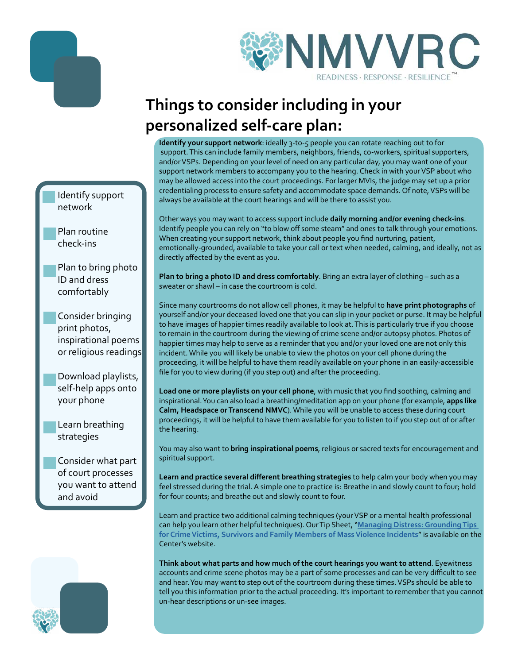



## **Things to consider including in your personalized self-care plan:**

**Identify your support network**: ideally 3-to-5 people you can rotate reaching out to for support. This can include family members, neighbors, friends, co-workers, spiritual supporters, and/or VSPs. Depending on your level of need on any particular day, you may want one of your support network members to accompany you to the hearing. Check in with your VSP about who may be allowed access into the court proceedings. For larger MVIs, the judge may set up a prior credentialing process to ensure safety and accommodate space demands. Of note, VSPs will be always be available at the court hearings and will be there to assist you.

Other ways you may want to access support include **daily morning and/or evening check-ins**. Identify people you can rely on "to blow off some steam" and ones to talk through your emotions. When creating your support network, think about people you find nurturing, patient, emotionally-grounded, available to take your call or text when needed, calming, and ideally, not as directly affected by the event as you.

**Plan to bring a photo ID and dress comfortably**. Bring an extra layer of clothing – such as a sweater or shawl – in case the courtroom is cold.

Since many courtrooms do not allow cell phones, it may be helpful to **have print photographs** of yourself and/or your deceased loved one that you can slip in your pocket or purse. It may be helpful to have images of happier times readily available to look at. This is particularly true if you choose to remain in the courtroom during the viewing of crime scene and/or autopsy photos. Photos of happier times may help to serve as a reminder that you and/or your loved one are not only this incident. While you will likely be unable to view the photos on your cell phone during the proceeding, it will be helpful to have them readily available on your phone in an easily-accessible file for you to view during (if you step out) and after the proceeding.

**Load one or more playlists on your cell phone**, with music that you find soothing, calming and inspirational. You can also load a breathing/meditation app on your phone (for example, **apps like Calm, Headspace or Transcend NMVC**). While you will be unable to access these during court proceedings, it will be helpful to have them available for you to listen to if you step out of or after the hearing.

You may also want to **bring inspirational poems**, religious or sacred texts for encouragement and spiritual support.

**Learn and practice several different breathing strategies** to help calm your body when you may feel stressed during the trial. A simple one to practice is: Breathe in and slowly count to four; hold for four counts; and breathe out and slowly count to four.

Learn and practice two additional calming techniques (your VSP or a mental health professional can help you learn other helpful techniques). Our Tip Sheet, "**[Managing Distress: Grounding Tips](https://www.nmvvrc.org/media/oo5ft3in/managing-distress-a-guide-for-victims-survivors-and-families-of-mass-violence-events-1.pdf)  [for Crime Victims, Survivors and Family Members of Mass Violence Incidents](https://www.nmvvrc.org/media/oo5ft3in/managing-distress-a-guide-for-victims-survivors-and-families-of-mass-violence-events-1.pdf)**" is available on the Center's website.

**Think about what parts and how much of the court hearings you want to attend**. Eyewitness accounts and crime scene photos may be a part of some processes and can be very difficult to see and hear. You may want to step out of the courtroom during these times. VSPs should be able to tell you this information prior to the actual proceeding. It's important to remember that you cannot un-hear descriptions or un-see images.

#### Identify support network

Plan routine check-ins

Plan to bring photo ID and dress comfortably

Consider bringing print photos, inspirational poems or religious readings

Download playlists, self-help apps onto your phone

Learn breathing strategies

Consider what part of court processes you want to attend and avoid

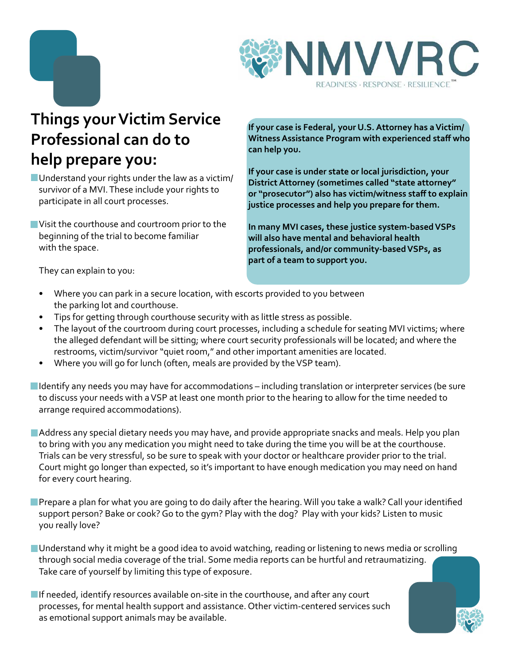



#### **Things your Victim Service Professional can do to help prepare you:**

- Understand your rights under the law as a victim/ survivor of a MVI. These include your rights to participate in all court processes.
- Visit the courthouse and courtroom prior to the beginning of the trial to become familiar with the space.

**If your case is Federal, your U.S. Attorney has a Victim/ Witness Assistance Program with experienced staff who can help you.** 

**If your case is under state or local jurisdiction, your District Attorney (sometimes called "state attorney" or "prosecutor") also has victim/witness staff to explain justice processes and help you prepare for them.** 

**In many MVI cases, these justice system-based VSPs will also have mental and behavioral health professionals, and/or community-based VSPs, as part of a team to support you.** 

They can explain to you:

- Where you can park in a secure location, with escorts provided to you between the parking lot and courthouse.
- Tips for getting through courthouse security with as little stress as possible.
- The layout of the courtroom during court processes, including a schedule for seating MVI victims; where the alleged defendant will be sitting; where court security professionals will be located; and where the restrooms, victim/survivor "quiet room," and other important amenities are located.
- Where you will go for lunch (often, meals are provided by the VSP team).
- Identify any needs you may have for accommodations including translation or interpreter services (be sure to discuss your needs with a VSP at least one month prior to the hearing to allow for the time needed to arrange required accommodations).
- Address any special dietary needs you may have, and provide appropriate snacks and meals. Help you plan to bring with you any medication you might need to take during the time you will be at the courthouse. Trials can be very stressful, so be sure to speak with your doctor or healthcare provider prior to the trial. Court might go longer than expected, so it's important to have enough medication you may need on hand for every court hearing.
- Prepare a plan for what you are going to do daily after the hearing. Will you take a walk? Call your identified support person? Bake or cook? Go to the gym? Play with the dog? Play with your kids? Listen to music you really love?
- **Understand why it might be a good idea to avoid watching, reading or listening to news media or scrolling** through social media coverage of the trial. Some media reports can be hurtful and retraumatizing. Take care of yourself by limiting this type of exposure.
- $\blacksquare$  If needed, identify resources available on-site in the courthouse, and after any court processes, for mental health support and assistance. Other victim-centered services such as emotional support animals may be available.

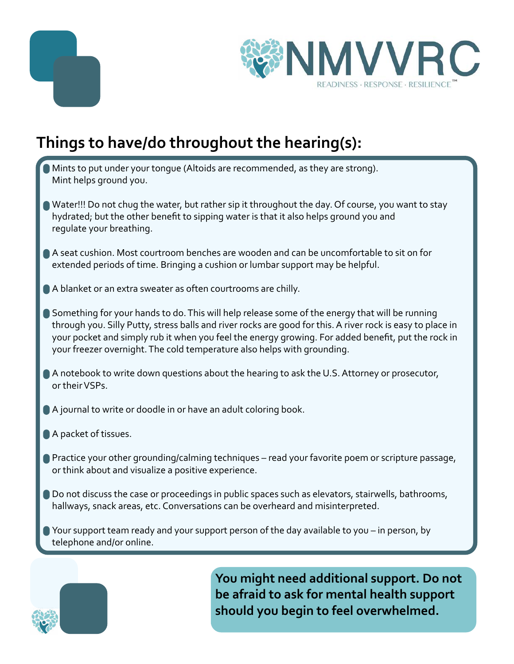



### **Things to have/do throughout the hearing(s):**

- Mints to put under your tongue (Altoids are recommended, as they are strong). Mint helps ground you.
- Water!!! Do not chug the water, but rather sip it throughout the day. Of course, you want to stay hydrated; but the other benefit to sipping water is that it also helps ground you and regulate your breathing.
- A seat cushion. Most courtroom benches are wooden and can be uncomfortable to sit on for extended periods of time. Bringing a cushion or lumbar support may be helpful.
- A blanket or an extra sweater as often courtrooms are chilly.
- Something for your hands to do. This will help release some of the energy that will be running through you. Silly Putty, stress balls and river rocks are good for this. A river rock is easy to place in your pocket and simply rub it when you feel the energy growing. For added benefit, put the rock in your freezer overnight. The cold temperature also helps with grounding.
- A notebook to write down questions about the hearing to ask the U.S. Attorney or prosecutor, or their VSPs.
- A journal to write or doodle in or have an adult coloring book.
- A packet of tissues.
- **Practice your other grounding/calming techniques read your favorite poem or scripture passage,** or think about and visualize a positive experience.
- Do not discuss the case or proceedings in public spaces such as elevators, stairwells, bathrooms, hallways, snack areas, etc. Conversations can be overheard and misinterpreted.
- Your support team ready and your support person of the day available to you in person, by telephone and/or online.



**You might need additional support. Do not be afraid to ask for mental health support should you begin to feel overwhelmed.**